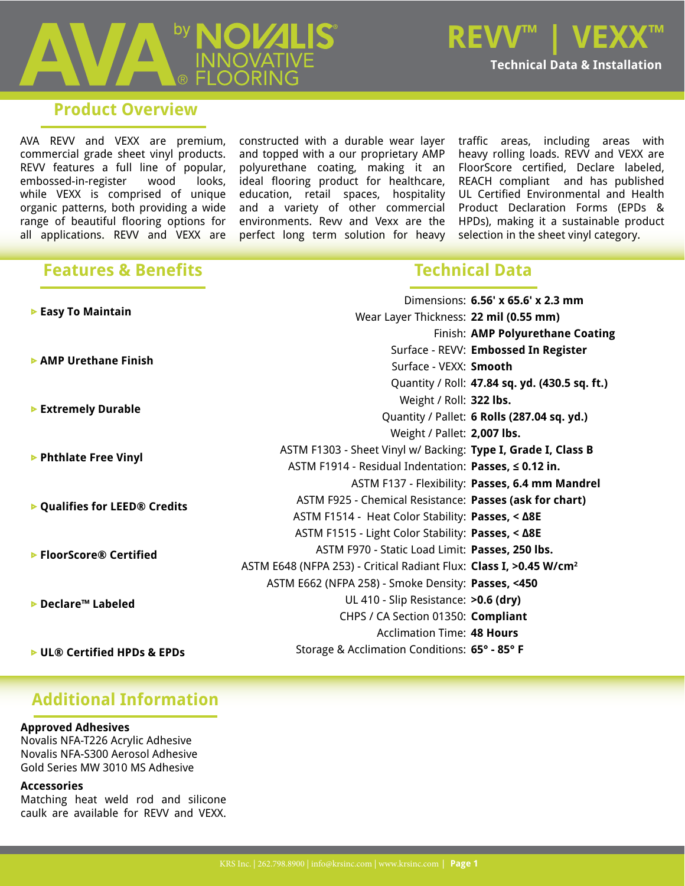#### **Product Overview**

AVA REVV and VEXX are premium, commercial grade sheet vinyl products. REVV features a full line of popular, embossed-in-register wood looks, while VEXX is comprised of unique organic patterns, both providing a wide range of beautiful flooring options for all applications. REVV and VEXX are

constructed with a durable wear layer and topped with a our proprietary AMP polyurethane coating, making it an ideal flooring product for healthcare, education, retail spaces, hospitality and a variety of other commercial environments. Revv and Vexx are the perfect long term solution for heavy traffic areas, including areas with heavy rolling loads. REVV and VEXX are FloorScore certified, Declare labeled, REACH compliant and has published UL Certified Environmental and Health Product Declaration Forms (EPDs & HPDs), making it a sustainable product selection in the sheet vinyl category.

#### **Features & Benefits**

### **Technical Data**

| ► Easy To Maintain                        |                                                                                | Dimensions: 6.56' x 65.6' x 2.3 mm              |
|-------------------------------------------|--------------------------------------------------------------------------------|-------------------------------------------------|
|                                           | Wear Layer Thickness: 22 mil (0.55 mm)                                         |                                                 |
|                                           |                                                                                | Finish: AMP Polyurethane Coating                |
| AMP Urethane Finish                       |                                                                                | Surface - REVV: Embossed In Register            |
|                                           | Surface - VEXX: Smooth                                                         |                                                 |
|                                           |                                                                                | Quantity / Roll: 47.84 sq. yd. (430.5 sq. ft.)  |
| ▶ Extremely Durable                       | Weight / Roll: 322 lbs.                                                        |                                                 |
|                                           |                                                                                | Quantity / Pallet: 6 Rolls (287.04 sq. yd.)     |
|                                           | Weight / Pallet: 2,007 lbs.                                                    |                                                 |
| ▶ Phthlate Free Vinyl                     | ASTM F1303 - Sheet Vinyl w/ Backing: Type I, Grade I, Class B                  |                                                 |
|                                           | ASTM F1914 - Residual Indentation: Passes, ≤ 0.12 in.                          |                                                 |
| ▶ Qualifies for LEED <sup>®</sup> Credits |                                                                                | ASTM F137 - Flexibility: Passes, 6.4 mm Mandrel |
|                                           | ASTM F925 - Chemical Resistance: Passes (ask for chart)                        |                                                 |
|                                           | ASTM F1514 - Heat Color Stability: Passes, < Δ8E                               |                                                 |
| ▶ FloorScore® Certified                   | ASTM F1515 - Light Color Stability: Passes, < A8E                              |                                                 |
|                                           | ASTM F970 - Static Load Limit: Passes, 250 lbs.                                |                                                 |
|                                           | ASTM E648 (NFPA 253) - Critical Radiant Flux: Class I, >0.45 W/cm <sup>2</sup> |                                                 |
| ▶ Declare™ Labeled                        | ASTM E662 (NFPA 258) - Smoke Density: Passes, <450                             |                                                 |
|                                           | UL 410 - Slip Resistance: >0.6 (dry)                                           |                                                 |
|                                           | CHPS / CA Section 01350: Compliant                                             |                                                 |
|                                           | <b>Acclimation Time: 48 Hours</b>                                              |                                                 |
| ► UL® Certified HPDs & EPDs               | Storage & Acclimation Conditions: 65° - 85° F                                  |                                                 |
|                                           |                                                                                |                                                 |

#### **Additional Information**

#### **Approved Adhesives**

Novalis NFA-T226 Acrylic Adhesive Novalis NFA-S300 Aerosol Adhesive Gold Series MW 3010 MS Adhesive

#### **Accessories**

Matching heat weld rod and silicone caulk are available for REVV and VEXX.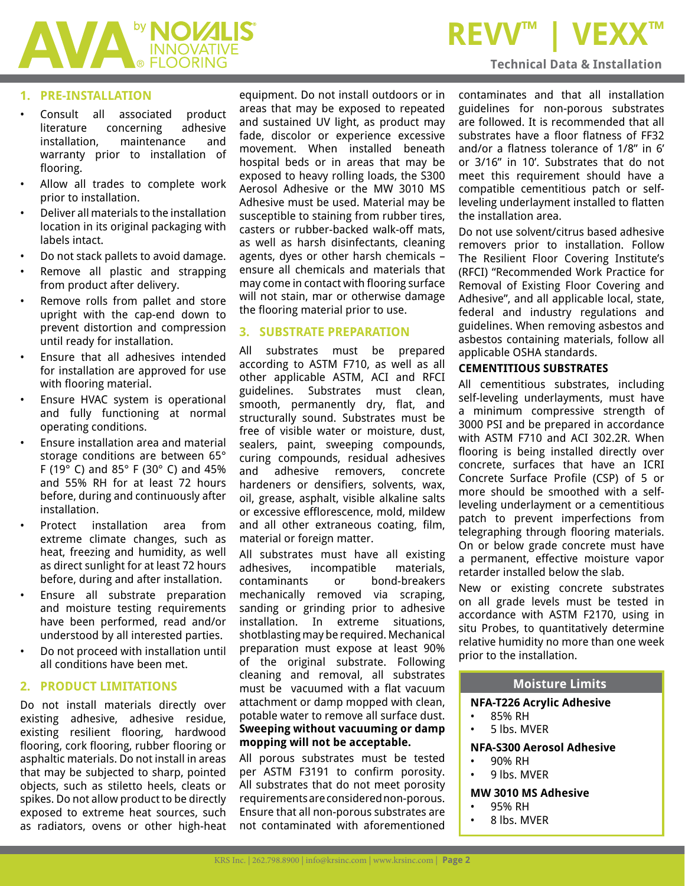

### **REVV™ | VE**

#### **Technical Data & Installation**

#### **1. PRE-INSTALLATION**

- Consult all associated product literature concerning adhesive installation, maintenance and warranty prior to installation of flooring.
- Allow all trades to complete work prior to installation.
- Deliver all materials to the installation location in its original packaging with labels intact.
- Do not stack pallets to avoid damage.
- Remove all plastic and strapping from product after delivery.
- Remove rolls from pallet and store upright with the cap-end down to prevent distortion and compression until ready for installation.
- Ensure that all adhesives intended for installation are approved for use with flooring material.
- Ensure HVAC system is operational and fully functioning at normal operating conditions.
- Ensure installation area and material storage conditions are between 65° F (19° C) and 85° F (30° C) and 45% and 55% RH for at least 72 hours before, during and continuously after installation.
- Protect installation area from extreme climate changes, such as heat, freezing and humidity, as well as direct sunlight for at least 72 hours before, during and after installation.
- Ensure all substrate preparation and moisture testing requirements have been performed, read and/or understood by all interested parties.
- Do not proceed with installation until all conditions have been met.

#### **2. PRODUCT LIMITATIONS**

Do not install materials directly over existing adhesive, adhesive residue, existing resilient flooring, hardwood flooring, cork flooring, rubber flooring or asphaltic materials. Do not install in areas that may be subjected to sharp, pointed objects, such as stiletto heels, cleats or spikes. Do not allow product to be directly exposed to extreme heat sources, such as radiators, ovens or other high-heat equipment. Do not install outdoors or in areas that may be exposed to repeated and sustained UV light, as product may fade, discolor or experience excessive movement. When installed beneath hospital beds or in areas that may be exposed to heavy rolling loads, the S300 Aerosol Adhesive or the MW 3010 MS Adhesive must be used. Material may be susceptible to staining from rubber tires, casters or rubber-backed walk-off mats, as well as harsh disinfectants, cleaning agents, dyes or other harsh chemicals – ensure all chemicals and materials that may come in contact with flooring surface will not stain, mar or otherwise damage the flooring material prior to use.

#### **3. SUBSTRATE PREPARATION**

All substrates must be prepared according to ASTM F710, as well as all other applicable ASTM, ACI and RFCI guidelines. Substrates must clean, smooth, permanently dry, flat, and structurally sound. Substrates must be free of visible water or moisture, dust, sealers, paint, sweeping compounds, curing compounds, residual adhesives and adhesive removers, concrete hardeners or densifiers, solvents, wax, oil, grease, asphalt, visible alkaline salts or excessive efflorescence, mold, mildew and all other extraneous coating, film, material or foreign matter.

All substrates must have all existing adhesives, incompatible materials, contaminants or bond-breakers mechanically removed via scraping, sanding or grinding prior to adhesive installation. In extreme situations, shotblasting may be required. Mechanical preparation must expose at least 90% of the original substrate. Following cleaning and removal, all substrates must be vacuumed with a flat vacuum attachment or damp mopped with clean, potable water to remove all surface dust. **Sweeping without vacuuming or damp mopping will not be acceptable.** 

All porous substrates must be tested per ASTM F3191 to confirm porosity. All substrates that do not meet porosity requirements are considered non-porous. Ensure that all non-porous substrates are not contaminated with aforementioned contaminates and that all installation guidelines for non-porous substrates are followed. It is recommended that all substrates have a floor flatness of FF32 and/or a flatness tolerance of 1/8" in 6' or 3/16" in 10'. Substrates that do not meet this requirement should have a compatible cementitious patch or selfleveling underlayment installed to flatten the installation area.

Do not use solvent/citrus based adhesive removers prior to installation. Follow The Resilient Floor Covering Institute's (RFCI) "Recommended Work Practice for Removal of Existing Floor Covering and Adhesive", and all applicable local, state, federal and industry regulations and guidelines. When removing asbestos and asbestos containing materials, follow all applicable OSHA standards.

#### **CEMENTITIOUS SUBSTRATES**

All cementitious substrates, including self-leveling underlayments, must have a minimum compressive strength of 3000 PSI and be prepared in accordance with ASTM F710 and ACI 302.2R. When flooring is being installed directly over concrete, surfaces that have an ICRI Concrete Surface Profile (CSP) of 5 or more should be smoothed with a selfleveling underlayment or a cementitious patch to prevent imperfections from telegraphing through flooring materials. On or below grade concrete must have a permanent, effective moisture vapor retarder installed below the slab.

New or existing concrete substrates on all grade levels must be tested in accordance with ASTM F2170, using in situ Probes, to quantitatively determine relative humidity no more than one week prior to the installation.

#### **Moisture Limits**

#### **NFA-T226 Acrylic Adhesive**

- 85% RH
- 5 lbs. MVER

#### **NFA-S300 Aerosol Adhesive**

- 90% RH
- 9 lbs. MVER

#### **MW 3010 MS Adhesive**

- 95% RH
- 8 lbs. MVER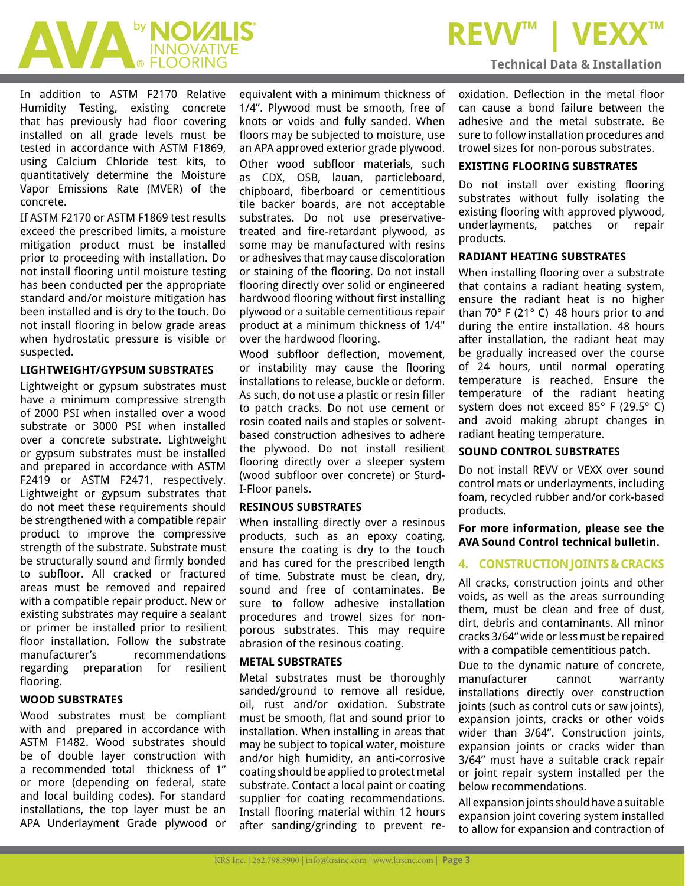# AVA <sup>by</sup> NOVALIS

In addition to ASTM F2170 Relative Humidity Testing, existing concrete that has previously had floor covering installed on all grade levels must be tested in accordance with ASTM F1869, using Calcium Chloride test kits, to quantitatively determine the Moisture Vapor Emissions Rate (MVER) of the concrete.

If ASTM F2170 or ASTM F1869 test results exceed the prescribed limits, a moisture mitigation product must be installed prior to proceeding with installation. Do not install flooring until moisture testing has been conducted per the appropriate standard and/or moisture mitigation has been installed and is dry to the touch. Do not install flooring in below grade areas when hydrostatic pressure is visible or suspected.

#### **LIGHTWEIGHT/GYPSUM SUBSTRATES**

Lightweight or gypsum substrates must have a minimum compressive strength of 2000 PSI when installed over a wood substrate or 3000 PSI when installed over a concrete substrate. Lightweight or gypsum substrates must be installed and prepared in accordance with ASTM F2419 or ASTM F2471, respectively. Lightweight or gypsum substrates that do not meet these requirements should be strengthened with a compatible repair product to improve the compressive strength of the substrate. Substrate must be structurally sound and firmly bonded to subfloor. All cracked or fractured areas must be removed and repaired with a compatible repair product. New or existing substrates may require a sealant or primer be installed prior to resilient floor installation. Follow the substrate manufacturer's recommendations regarding preparation for resilient flooring.

#### **WOOD SUBSTRATES**

Wood substrates must be compliant with and prepared in accordance with ASTM F1482. Wood substrates should be of double layer construction with a recommended total thickness of 1" or more (depending on federal, state and local building codes). For standard installations, the top layer must be an APA Underlayment Grade plywood or

equivalent with a minimum thickness of 1/4". Plywood must be smooth, free of knots or voids and fully sanded. When floors may be subjected to moisture, use an APA approved exterior grade plywood. Other wood subfloor materials, such as CDX, OSB, lauan, particleboard, chipboard, fiberboard or cementitious tile backer boards, are not acceptable substrates. Do not use preservativetreated and fire-retardant plywood, as some may be manufactured with resins or adhesives that may cause discoloration or staining of the flooring. Do not install flooring directly over solid or engineered hardwood flooring without first installing plywood or a suitable cementitious repair product at a minimum thickness of 1/4" over the hardwood flooring.

Wood subfloor deflection, movement, or instability may cause the flooring installations to release, buckle or deform. As such, do not use a plastic or resin filler to patch cracks. Do not use cement or rosin coated nails and staples or solventbased construction adhesives to adhere the plywood. Do not install resilient flooring directly over a sleeper system (wood subfloor over concrete) or Sturd-I-Floor panels.

#### **RESINOUS SUBSTRATES**

When installing directly over a resinous products, such as an epoxy coating, ensure the coating is dry to the touch and has cured for the prescribed length of time. Substrate must be clean, dry, sound and free of contaminates. Be sure to follow adhesive installation procedures and trowel sizes for nonporous substrates. This may require abrasion of the resinous coating.

#### **METAL SUBSTRATES**

Metal substrates must be thoroughly sanded/ground to remove all residue, oil, rust and/or oxidation. Substrate must be smooth, flat and sound prior to installation. When installing in areas that may be subject to topical water, moisture and/or high humidity, an anti-corrosive coating should be applied to protect metal substrate. Contact a local paint or coating supplier for coating recommendations. Install flooring material within 12 hours after sanding/grinding to prevent re-

## **REVV™ | VE**

#### **Technical Data & Installation**

oxidation. Deflection in the metal floor can cause a bond failure between the adhesive and the metal substrate. Be sure to follow installation procedures and trowel sizes for non-porous substrates.

#### **EXISTING FLOORING SUBSTRATES**

Do not install over existing flooring substrates without fully isolating the existing flooring with approved plywood, underlayments, patches or repair products.

#### **RADIANT HEATING SUBSTRATES**

When installing flooring over a substrate that contains a radiant heating system, ensure the radiant heat is no higher than 70° F (21° C) 48 hours prior to and during the entire installation. 48 hours after installation, the radiant heat may be gradually increased over the course of 24 hours, until normal operating temperature is reached. Ensure the temperature of the radiant heating system does not exceed 85° F (29.5° C) and avoid making abrupt changes in radiant heating temperature.

#### **SOUND CONTROL SUBSTRATES**

Do not install REVV or VEXX over sound control mats or underlayments, including foam, recycled rubber and/or cork-based products.

#### **For more information, please see the AVA Sound Control technical bulletin.**

#### **4. CONSTRUCTION JOINTS & CRACKS**

All cracks, construction joints and other voids, as well as the areas surrounding them, must be clean and free of dust, dirt, debris and contaminants. All minor cracks 3/64" wide or less must be repaired with a compatible cementitious patch.

Due to the dynamic nature of concrete, manufacturer cannot warranty installations directly over construction joints (such as control cuts or saw joints), expansion joints, cracks or other voids wider than 3/64". Construction joints, expansion joints or cracks wider than 3/64" must have a suitable crack repair or joint repair system installed per the below recommendations.

All expansion joints should have a suitable expansion joint covering system installed to allow for expansion and contraction of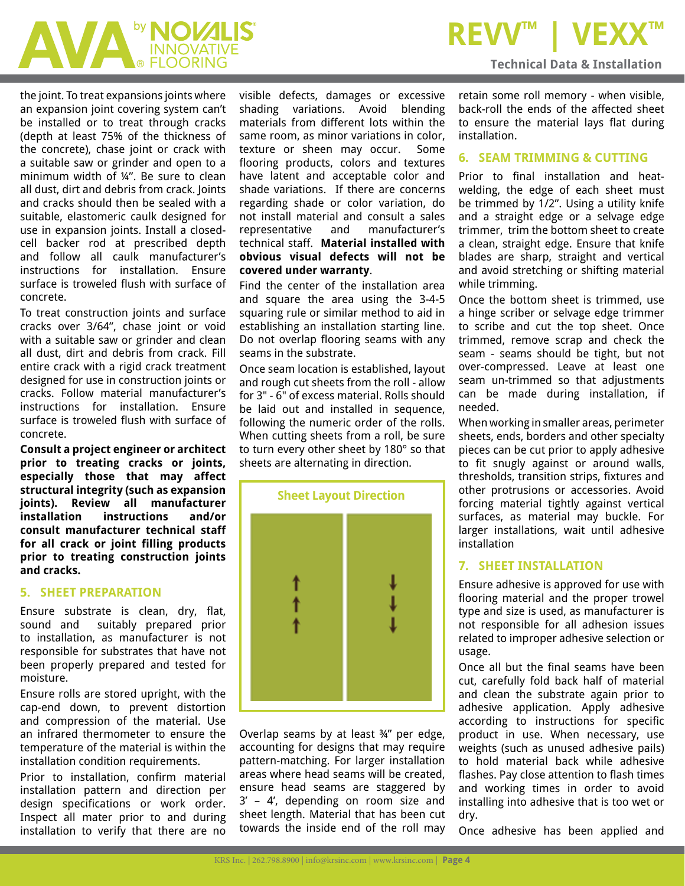## **MALLIS**

**REVV™ | VE** 

the joint. To treat expansions joints where an expansion joint covering system can't be installed or to treat through cracks (depth at least 75% of the thickness of the concrete), chase joint or crack with a suitable saw or grinder and open to a minimum width of ¼". Be sure to clean all dust, dirt and debris from crack. Joints and cracks should then be sealed with a suitable, elastomeric caulk designed for use in expansion joints. Install a closedcell backer rod at prescribed depth and follow all caulk manufacturer's instructions for installation. Ensure surface is troweled flush with surface of concrete.

To treat construction joints and surface cracks over 3/64", chase joint or void with a suitable saw or grinder and clean all dust, dirt and debris from crack. Fill entire crack with a rigid crack treatment designed for use in construction joints or cracks. Follow material manufacturer's instructions for installation. Ensure surface is troweled flush with surface of concrete.

**Consult a project engineer or architect prior to treating cracks or joints, especially those that may affect structural integrity (such as expansion joints). Review all manufacturer installation instructions and/or consult manufacturer technical staff for all crack or joint filling products prior to treating construction joints and cracks.**

#### **5. SHEET PREPARATION**

Ensure substrate is clean, dry, flat, sound and suitably prepared prior to installation, as manufacturer is not responsible for substrates that have not been properly prepared and tested for moisture.

Ensure rolls are stored upright, with the cap-end down, to prevent distortion and compression of the material. Use an infrared thermometer to ensure the temperature of the material is within the installation condition requirements.

Prior to installation, confirm material installation pattern and direction per design specifications or work order. Inspect all mater prior to and during installation to verify that there are no

visible defects, damages or excessive shading variations. Avoid blending materials from different lots within the same room, as minor variations in color, texture or sheen may occur. Some flooring products, colors and textures have latent and acceptable color and shade variations. If there are concerns regarding shade or color variation, do not install material and consult a sales representative and manufacturer's technical staff. **Material installed with obvious visual defects will not be covered under warranty**.

Find the center of the installation area and square the area using the 3-4-5 squaring rule or similar method to aid in establishing an installation starting line. Do not overlap flooring seams with any seams in the substrate.

Once seam location is established, layout and rough cut sheets from the roll - allow for 3" - 6" of excess material. Rolls should be laid out and installed in sequence. following the numeric order of the rolls. When cutting sheets from a roll, be sure to turn every other sheet by 180° so that sheets are alternating in direction.



Overlap seams by at least ¾" per edge, accounting for designs that may require pattern-matching. For larger installation areas where head seams will be created, ensure head seams are staggered by 3' – 4', depending on room size and sheet length. Material that has been cut towards the inside end of the roll may retain some roll memory - when visible, back-roll the ends of the affected sheet to ensure the material lays flat during installation.

**Technical Data & Installation**

#### **6. SEAM TRIMMING & CUTTING**

Prior to final installation and heatwelding, the edge of each sheet must be trimmed by 1/2". Using a utility knife and a straight edge or a selvage edge trimmer, trim the bottom sheet to create a clean, straight edge. Ensure that knife blades are sharp, straight and vertical and avoid stretching or shifting material while trimming.

Once the bottom sheet is trimmed, use a hinge scriber or selvage edge trimmer to scribe and cut the top sheet. Once trimmed, remove scrap and check the seam - seams should be tight, but not over-compressed. Leave at least one seam un-trimmed so that adjustments can be made during installation, if needed.

When working in smaller areas, perimeter sheets, ends, borders and other specialty pieces can be cut prior to apply adhesive to fit snugly against or around walls, thresholds, transition strips, fixtures and other protrusions or accessories. Avoid forcing material tightly against vertical surfaces, as material may buckle. For larger installations, wait until adhesive installation

#### **7. SHEET INSTALLATION**

Ensure adhesive is approved for use with flooring material and the proper trowel type and size is used, as manufacturer is not responsible for all adhesion issues related to improper adhesive selection or usage.

Once all but the final seams have been cut, carefully fold back half of material and clean the substrate again prior to adhesive application. Apply adhesive according to instructions for specific product in use. When necessary, use weights (such as unused adhesive pails) to hold material back while adhesive flashes. Pay close attention to flash times and working times in order to avoid installing into adhesive that is too wet or dry.

Once adhesive has been applied and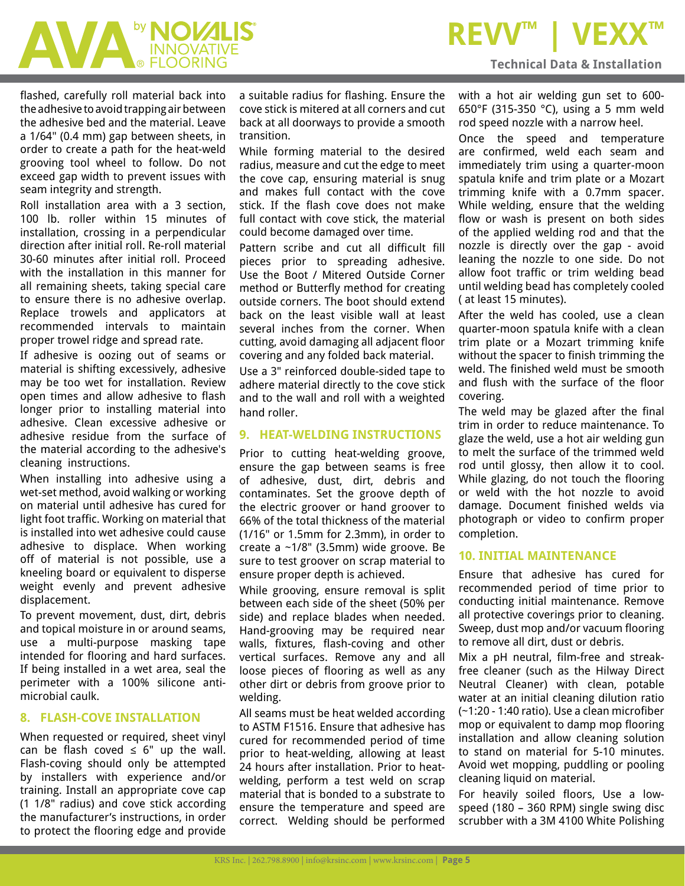### **REVV™** | VEX

#### **Technical Data & Installation**

AVA <sup>by</sup> NOVALIS'

flashed, carefully roll material back into the adhesive to avoid trapping air between the adhesive bed and the material. Leave a 1/64" (0.4 mm) gap between sheets, in order to create a path for the heat-weld grooving tool wheel to follow. Do not exceed gap width to prevent issues with seam integrity and strength.

Roll installation area with a 3 section, 100 lb. roller within 15 minutes of installation, crossing in a perpendicular direction after initial roll. Re-roll material 30-60 minutes after initial roll. Proceed with the installation in this manner for all remaining sheets, taking special care to ensure there is no adhesive overlap. Replace trowels and applicators at recommended intervals to maintain proper trowel ridge and spread rate.

If adhesive is oozing out of seams or material is shifting excessively, adhesive may be too wet for installation. Review open times and allow adhesive to flash longer prior to installing material into adhesive. Clean excessive adhesive or adhesive residue from the surface of the material according to the adhesive's cleaning instructions.

When installing into adhesive using a wet-set method, avoid walking or working on material until adhesive has cured for light foot traffic. Working on material that is installed into wet adhesive could cause adhesive to displace. When working off of material is not possible, use a kneeling board or equivalent to disperse weight evenly and prevent adhesive displacement.

To prevent movement, dust, dirt, debris and topical moisture in or around seams, use a multi-purpose masking tape intended for flooring and hard surfaces. If being installed in a wet area, seal the perimeter with a 100% silicone antimicrobial caulk.

#### **8. FLASH-COVE INSTALLATION**

When requested or required, sheet vinyl can be flash coved  $\leq$  6" up the wall. Flash-coving should only be attempted by installers with experience and/or training. Install an appropriate cove cap (1 1/8" radius) and cove stick according the manufacturer's instructions, in order to protect the flooring edge and provide

a suitable radius for flashing. Ensure the cove stick is mitered at all corners and cut back at all doorways to provide a smooth transition.

While forming material to the desired radius, measure and cut the edge to meet the cove cap, ensuring material is snug and makes full contact with the cove stick. If the flash cove does not make full contact with cove stick, the material could become damaged over time.

Pattern scribe and cut all difficult fill pieces prior to spreading adhesive. Use the Boot / Mitered Outside Corner method or Butterfly method for creating outside corners. The boot should extend back on the least visible wall at least several inches from the corner. When cutting, avoid damaging all adjacent floor covering and any folded back material.

Use a 3" reinforced double-sided tape to adhere material directly to the cove stick and to the wall and roll with a weighted hand roller.

#### **9. HEAT-WELDING INSTRUCTIONS**

Prior to cutting heat-welding groove, ensure the gap between seams is free of adhesive, dust, dirt, debris and contaminates. Set the groove depth of the electric groover or hand groover to 66% of the total thickness of the material (1/16" or 1.5mm for 2.3mm), in order to create a ~1/8" (3.5mm) wide groove. Be sure to test groover on scrap material to ensure proper depth is achieved.

While grooving, ensure removal is split between each side of the sheet (50% per side) and replace blades when needed. Hand-grooving may be required near walls, fixtures, flash-coving and other vertical surfaces. Remove any and all loose pieces of flooring as well as any other dirt or debris from groove prior to welding.

All seams must be heat welded according to ASTM F1516. Ensure that adhesive has cured for recommended period of time prior to heat-welding, allowing at least 24 hours after installation. Prior to heatwelding, perform a test weld on scrap material that is bonded to a substrate to ensure the temperature and speed are correct. Welding should be performed

with a hot air welding gun set to 600- 650°F (315-350 °C), using a 5 mm weld rod speed nozzle with a narrow heel.

Once the speed and temperature are confirmed, weld each seam and immediately trim using a quarter-moon spatula knife and trim plate or a Mozart trimming knife with a 0.7mm spacer. While welding, ensure that the welding flow or wash is present on both sides of the applied welding rod and that the nozzle is directly over the gap - avoid leaning the nozzle to one side. Do not allow foot traffic or trim welding bead until welding bead has completely cooled ( at least 15 minutes).

After the weld has cooled, use a clean quarter-moon spatula knife with a clean trim plate or a Mozart trimming knife without the spacer to finish trimming the weld. The finished weld must be smooth and flush with the surface of the floor covering.

The weld may be glazed after the final trim in order to reduce maintenance. To glaze the weld, use a hot air welding gun to melt the surface of the trimmed weld rod until glossy, then allow it to cool. While glazing, do not touch the flooring or weld with the hot nozzle to avoid damage. Document finished welds via photograph or video to confirm proper completion.

#### **10. INITIAL MAINTENANCE**

Ensure that adhesive has cured for recommended period of time prior to conducting initial maintenance. Remove all protective coverings prior to cleaning. Sweep, dust mop and/or vacuum flooring to remove all dirt, dust or debris.

Mix a pH neutral, film-free and streakfree cleaner (such as the Hilway Direct Neutral Cleaner) with clean, potable water at an initial cleaning dilution ratio (~1:20 - 1:40 ratio). Use a clean microfiber mop or equivalent to damp mop flooring installation and allow cleaning solution to stand on material for 5-10 minutes. Avoid wet mopping, puddling or pooling cleaning liquid on material.

For heavily soiled floors, Use a lowspeed (180 – 360 RPM) single swing disc scrubber with a 3M 4100 White Polishing